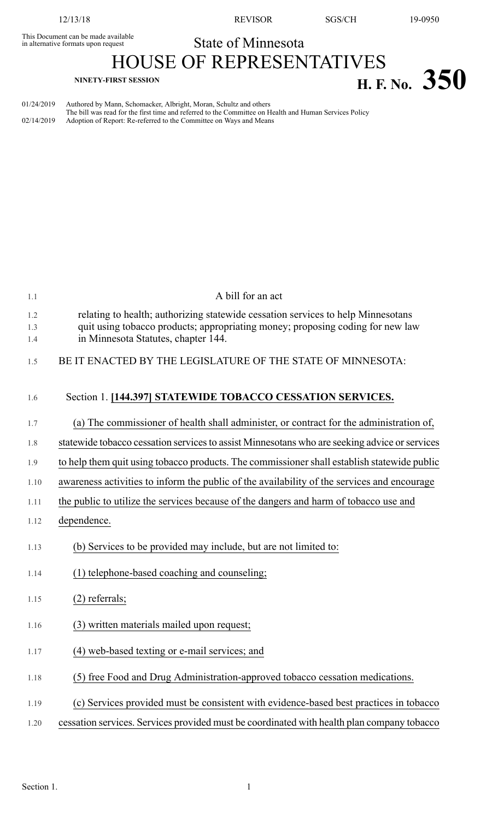This Document can be made available<br>in alternative formats upon request

12/13/18 REVISOR SGS/CH 19-0950

## State of Minnesota

HOUSE OF REPRESENTATIVES **NINETY-FIRST SESSION H. F. No. 350**

| 01/24/2019 | Authored by Mann, Schomacker, Albright, Moran, Schultz and others                                      |
|------------|--------------------------------------------------------------------------------------------------------|
|            | The bill was read for the first time and referred to the Committee on Health and Human Services Policy |
| 02/14/2019 | Adoption of Report: Re-referred to the Committee on Ways and Means                                     |

| 1.1               | A bill for an act                                                                                                                                                                                         |  |  |
|-------------------|-----------------------------------------------------------------------------------------------------------------------------------------------------------------------------------------------------------|--|--|
| 1.2<br>1.3<br>1.4 | relating to health; authorizing statewide cessation services to help Minnesotans<br>quit using tobacco products; appropriating money; proposing coding for new law<br>in Minnesota Statutes, chapter 144. |  |  |
| 1.5               | BE IT ENACTED BY THE LEGISLATURE OF THE STATE OF MINNESOTA:                                                                                                                                               |  |  |
| 1.6               | Section 1. [144.397] STATEWIDE TOBACCO CESSATION SERVICES.                                                                                                                                                |  |  |
| 1.7               | (a) The commissioner of health shall administer, or contract for the administration of,                                                                                                                   |  |  |
| 1.8               | statewide tobacco cessation services to assist Minnesotans who are seeking advice or services                                                                                                             |  |  |
| 1.9               | to help them quit using tobacco products. The commissioner shall establish statewide public                                                                                                               |  |  |
| 1.10              | awareness activities to inform the public of the availability of the services and encourage                                                                                                               |  |  |
| 1.11              | the public to utilize the services because of the dangers and harm of tobacco use and                                                                                                                     |  |  |
| 1.12              | dependence.                                                                                                                                                                                               |  |  |
| 1.13              | (b) Services to be provided may include, but are not limited to:                                                                                                                                          |  |  |
| 1.14              | (1) telephone-based coaching and counseling;                                                                                                                                                              |  |  |
| 1.15              | $(2)$ referrals;                                                                                                                                                                                          |  |  |
| 1.16              | (3) written materials mailed upon request;                                                                                                                                                                |  |  |
| 1.17              | (4) web-based texting or e-mail services; and                                                                                                                                                             |  |  |
| 1.18              | (5) free Food and Drug Administration-approved tobacco cessation medications.                                                                                                                             |  |  |
| 1.19              | (c) Services provided must be consistent with evidence-based best practices in tobacco                                                                                                                    |  |  |
| 1.20              | cessation services. Services provided must be coordinated with health plan company tobacco                                                                                                                |  |  |